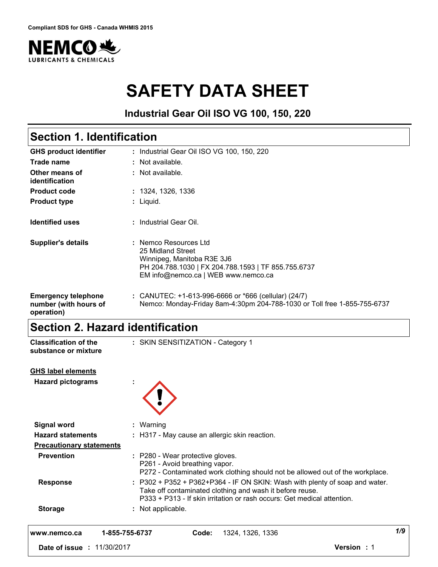

# **SAFETY DATA SHEET**

**Industrial Gear Oil ISO VG 100, 150, 220**

## **Section 1. Identification**

| <b>GHS product identifier</b>                                     | : Industrial Gear Oil ISO VG 100, 150, 220                                                                                                                             |
|-------------------------------------------------------------------|------------------------------------------------------------------------------------------------------------------------------------------------------------------------|
| Trade name                                                        | : Not available.                                                                                                                                                       |
| Other means of<br>identification                                  | : Not available.                                                                                                                                                       |
| <b>Product code</b>                                               | : 1324, 1326, 1336                                                                                                                                                     |
| <b>Product type</b>                                               | : Liquid.                                                                                                                                                              |
| <b>Identified uses</b>                                            | : Industrial Gear Oil.                                                                                                                                                 |
| <b>Supplier's details</b>                                         | : Nemco Resources Ltd<br>25 Midland Street<br>Winnipeg, Manitoba R3E 3J6<br>PH 204.788.1030   FX 204.788.1593   TF 855.755.6737<br>EM info@nemco.ca   WEB www.nemco.ca |
| <b>Emergency telephone</b><br>number (with hours of<br>operation) | : CANUTEC: $+1-613-996-6666$ or $*666$ (cellular) (24/7)<br>Nemco: Monday-Friday 8am-4:30pm 204-788-1030 or Toll free 1-855-755-6737                                   |

## **Section 2. Hazard identification**

| <b>Classification of the</b><br>substance or mixture | : SKIN SENSITIZATION - Category 1                                                                                                                                                                                  |                   |
|------------------------------------------------------|--------------------------------------------------------------------------------------------------------------------------------------------------------------------------------------------------------------------|-------------------|
| <b>GHS label elements</b>                            |                                                                                                                                                                                                                    |                   |
| <b>Hazard pictograms</b>                             |                                                                                                                                                                                                                    |                   |
| <b>Signal word</b>                                   | : Warning                                                                                                                                                                                                          |                   |
| <b>Hazard statements</b>                             | : H317 - May cause an allergic skin reaction.                                                                                                                                                                      |                   |
| <b>Precautionary statements</b>                      |                                                                                                                                                                                                                    |                   |
| <b>Prevention</b>                                    | : P280 - Wear protective gloves.<br>P261 - Avoid breathing vapor.<br>P272 - Contaminated work clothing should not be allowed out of the workplace.                                                                 |                   |
| <b>Response</b>                                      | : P302 + P352 + P362+P364 - IF ON SKIN: Wash with plenty of soap and water.<br>Take off contaminated clothing and wash it before reuse.<br>P333 + P313 - If skin irritation or rash occurs: Get medical attention. |                   |
| <b>Storage</b>                                       | : Not applicable.                                                                                                                                                                                                  |                   |
| www.nemco.ca                                         | 1-855-755-6737<br>1324, 1326, 1336<br>Code:                                                                                                                                                                        | 1/9               |
| Date of issue : 11/30/2017                           |                                                                                                                                                                                                                    | <b>Version: 1</b> |
|                                                      |                                                                                                                                                                                                                    |                   |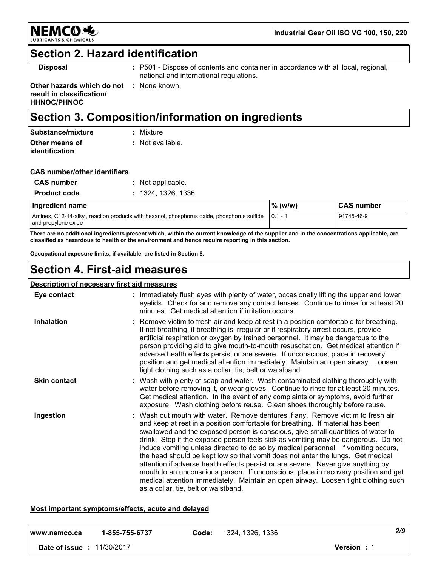

## **Section 2. Hazard identification**

**Disposal :** P501 - Dispose of contents and container in accordance with all local, regional, national and international regulations.

**Other hazards which do not :** None known. **result in classification/ HHNOC/PHNOC**

**CAS number/other identifiers**

## **Section 3. Composition/information on ingredients**

| Substance/mixture                | : Mixture        |
|----------------------------------|------------------|
| Other means of<br>identification | : Not available. |

| <b>CAS</b> number   | : Not applicable.  |
|---------------------|--------------------|
| <b>Product code</b> | : 1324, 1326, 1336 |
|                     |                    |

| Ingredient name                                                                                                             | $\%$ (w/w) | <b>CAS number</b> |  |
|-----------------------------------------------------------------------------------------------------------------------------|------------|-------------------|--|
| Amines, C12-14-alkyl, reaction products with hexanol, phosphorus oxide, phosphorus sulfide   0.1 - 1<br>and propylene oxide |            | 91745-46-9        |  |

**There are no additional ingredients present which, within the current knowledge of the supplier and in the concentrations applicable, are classified as hazardous to health or the environment and hence require reporting in this section.**

**Occupational exposure limits, if available, are listed in Section 8.**

## **Section 4. First-aid measures**

### **Description of necessary first aid measures**

| Eye contact         | : Immediately flush eyes with plenty of water, occasionally lifting the upper and lower<br>eyelids. Check for and remove any contact lenses. Continue to rinse for at least 20<br>minutes. Get medical attention if irritation occurs.                                                                                                                                                                                                                                                                                                                                                                                                                                                                                                                                                                                       |
|---------------------|------------------------------------------------------------------------------------------------------------------------------------------------------------------------------------------------------------------------------------------------------------------------------------------------------------------------------------------------------------------------------------------------------------------------------------------------------------------------------------------------------------------------------------------------------------------------------------------------------------------------------------------------------------------------------------------------------------------------------------------------------------------------------------------------------------------------------|
| <b>Inhalation</b>   | : Remove victim to fresh air and keep at rest in a position comfortable for breathing.<br>If not breathing, if breathing is irregular or if respiratory arrest occurs, provide<br>artificial respiration or oxygen by trained personnel. It may be dangerous to the<br>person providing aid to give mouth-to-mouth resuscitation. Get medical attention if<br>adverse health effects persist or are severe. If unconscious, place in recovery<br>position and get medical attention immediately. Maintain an open airway. Loosen<br>tight clothing such as a collar, tie, belt or waistband.                                                                                                                                                                                                                                 |
| <b>Skin contact</b> | : Wash with plenty of soap and water. Wash contaminated clothing thoroughly with<br>water before removing it, or wear gloves. Continue to rinse for at least 20 minutes.<br>Get medical attention. In the event of any complaints or symptoms, avoid further<br>exposure. Wash clothing before reuse. Clean shoes thoroughly before reuse.                                                                                                                                                                                                                                                                                                                                                                                                                                                                                   |
| Ingestion           | : Wash out mouth with water. Remove dentures if any. Remove victim to fresh air<br>and keep at rest in a position comfortable for breathing. If material has been<br>swallowed and the exposed person is conscious, give small quantities of water to<br>drink. Stop if the exposed person feels sick as vomiting may be dangerous. Do not<br>induce vomiting unless directed to do so by medical personnel. If vomiting occurs,<br>the head should be kept low so that vomit does not enter the lungs. Get medical<br>attention if adverse health effects persist or are severe. Never give anything by<br>mouth to an unconscious person. If unconscious, place in recovery position and get<br>medical attention immediately. Maintain an open airway. Loosen tight clothing such<br>as a collar, tie, belt or waistband. |

### **Most important symptoms/effects, acute and delayed**

| l www.nemco.ca  | 1-855-755-6737 | Code: | 1324, 1326, 1336 |                    | 2/9 |
|-----------------|----------------|-------|------------------|--------------------|-----|
| Date of issue : | 11/30/2017     |       |                  | <b>Version</b> : 1 |     |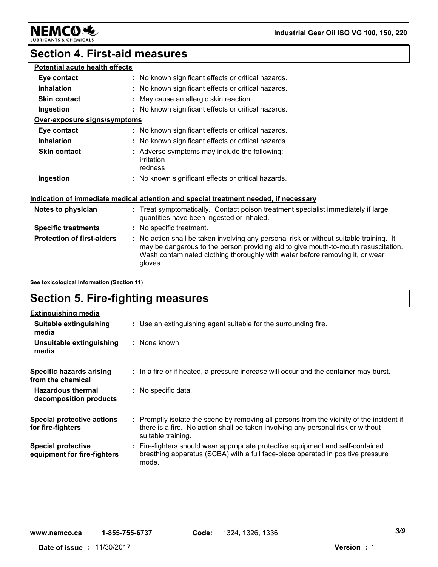**Industrial Gear Oil ISO VG 100, 150, 220**

**NEMCO 地** CHEMICALS LUBRI

## **Section 4. First-aid measures**

| <b>Potential acute health effects</b> |                                                                                                                                                                                                                                                                          |
|---------------------------------------|--------------------------------------------------------------------------------------------------------------------------------------------------------------------------------------------------------------------------------------------------------------------------|
| Eye contact                           | : No known significant effects or critical hazards.                                                                                                                                                                                                                      |
| <b>Inhalation</b>                     | : No known significant effects or critical hazards.                                                                                                                                                                                                                      |
| <b>Skin contact</b>                   | : May cause an allergic skin reaction.                                                                                                                                                                                                                                   |
| Ingestion                             | : No known significant effects or critical hazards.                                                                                                                                                                                                                      |
| Over-exposure signs/symptoms          |                                                                                                                                                                                                                                                                          |
| Eye contact                           | : No known significant effects or critical hazards.                                                                                                                                                                                                                      |
| <b>Inhalation</b>                     | : No known significant effects or critical hazards.                                                                                                                                                                                                                      |
| <b>Skin contact</b>                   | : Adverse symptoms may include the following:<br>irritation<br>redness                                                                                                                                                                                                   |
| Ingestion                             | : No known significant effects or critical hazards.                                                                                                                                                                                                                      |
|                                       | Indication of immediate medical attention and special treatment needed, if necessary                                                                                                                                                                                     |
| Notes to physician                    | : Treat symptomatically. Contact poison treatment specialist immediately if large<br>quantities have been ingested or inhaled.                                                                                                                                           |
| <b>Specific treatments</b>            | : No specific treatment.                                                                                                                                                                                                                                                 |
| <b>Protection of first-aiders</b>     | : No action shall be taken involving any personal risk or without suitable training. It<br>may be dangerous to the person providing aid to give mouth-to-mouth resuscitation.<br>Wash contaminated clothing thoroughly with water before removing it, or wear<br>gloves. |
|                                       |                                                                                                                                                                                                                                                                          |

**See toxicological information (Section 11)**

## **Section 5. Fire-fighting measures**

| <b>Extinguishing media</b>                               |                                                                                                                                                                                                     |
|----------------------------------------------------------|-----------------------------------------------------------------------------------------------------------------------------------------------------------------------------------------------------|
| Suitable extinguishing<br>media                          | : Use an extinguishing agent suitable for the surrounding fire.                                                                                                                                     |
| Unsuitable extinguishing<br>media                        | : None known.                                                                                                                                                                                       |
| Specific hazards arising<br>from the chemical            | : In a fire or if heated, a pressure increase will occur and the container may burst.                                                                                                               |
| <b>Hazardous thermal</b><br>decomposition products       | : No specific data.                                                                                                                                                                                 |
| <b>Special protective actions</b><br>for fire-fighters   | : Promptly isolate the scene by removing all persons from the vicinity of the incident if<br>there is a fire. No action shall be taken involving any personal risk or without<br>suitable training. |
| <b>Special protective</b><br>equipment for fire-fighters | : Fire-fighters should wear appropriate protective equipment and self-contained<br>breathing apparatus (SCBA) with a full face-piece operated in positive pressure<br>mode.                         |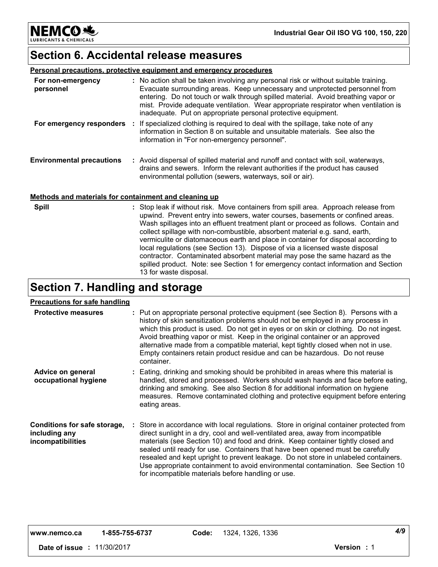**Industrial Gear Oil ISO VG 100, 150, 220**

NEMCOSS **LUBRICANTS & CHEMICALS** 

### **Section 6. Accidental release measures**

|  | Personal precautions, protective equipment and emergency procedures |  |  |
|--|---------------------------------------------------------------------|--|--|
|  |                                                                     |  |  |

| For non-emergency<br>personnel                        | : No action shall be taken involving any personal risk or without suitable training.<br>Evacuate surrounding areas. Keep unnecessary and unprotected personnel from<br>entering. Do not touch or walk through spilled material. Avoid breathing vapor or<br>mist. Provide adequate ventilation. Wear appropriate respirator when ventilation is<br>inadequate. Put on appropriate personal protective equipment. |
|-------------------------------------------------------|------------------------------------------------------------------------------------------------------------------------------------------------------------------------------------------------------------------------------------------------------------------------------------------------------------------------------------------------------------------------------------------------------------------|
| For emergency responders                              | : If specialized clothing is required to deal with the spillage, take note of any<br>information in Section 8 on suitable and unsuitable materials. See also the<br>information in "For non-emergency personnel".                                                                                                                                                                                                |
| <b>Environmental precautions</b>                      | : Avoid dispersal of spilled material and runoff and contact with soil, waterways,<br>drains and sewers. Inform the relevant authorities if the product has caused<br>environmental pollution (sewers, waterways, soil or air).                                                                                                                                                                                  |
| Methods and materials for containment and cleaning up |                                                                                                                                                                                                                                                                                                                                                                                                                  |
| <b>Spill</b>                                          | : Stop leak if without risk. Move containers from spill area. Approach release from<br>upwind. Prevent entry into sewers, water courses, basements or confined areas.                                                                                                                                                                                                                                            |

upwind. Prevent entry into sewers, water courses, basements or confined areas. Wash spillages into an effluent treatment plant or proceed as follows. Contain and collect spillage with non-combustible, absorbent material e.g. sand, earth, vermiculite or diatomaceous earth and place in container for disposal according to local regulations (see Section 13). Dispose of via a licensed waste disposal contractor. Contaminated absorbent material may pose the same hazard as the spilled product. Note: see Section 1 for emergency contact information and Section 13 for waste disposal.

## **Section 7. Handling and storage**

### **Precautions for safe handling**

| <b>Protective measures</b>                                         | : Put on appropriate personal protective equipment (see Section 8). Persons with a<br>history of skin sensitization problems should not be employed in any process in<br>which this product is used. Do not get in eyes or on skin or clothing. Do not ingest.<br>Avoid breathing vapor or mist. Keep in the original container or an approved<br>alternative made from a compatible material, kept tightly closed when not in use.<br>Empty containers retain product residue and can be hazardous. Do not reuse<br>container.                                                    |  |
|--------------------------------------------------------------------|------------------------------------------------------------------------------------------------------------------------------------------------------------------------------------------------------------------------------------------------------------------------------------------------------------------------------------------------------------------------------------------------------------------------------------------------------------------------------------------------------------------------------------------------------------------------------------|--|
| Advice on general<br>occupational hygiene                          | : Eating, drinking and smoking should be prohibited in areas where this material is<br>handled, stored and processed. Workers should wash hands and face before eating,<br>drinking and smoking. See also Section 8 for additional information on hygiene<br>measures. Remove contaminated clothing and protective equipment before entering<br>eating areas.                                                                                                                                                                                                                      |  |
| Conditions for safe storage,<br>including any<br>incompatibilities | : Store in accordance with local regulations. Store in original container protected from<br>direct sunlight in a dry, cool and well-ventilated area, away from incompatible<br>materials (see Section 10) and food and drink. Keep container tightly closed and<br>sealed until ready for use. Containers that have been opened must be carefully<br>resealed and kept upright to prevent leakage. Do not store in unlabeled containers.<br>Use appropriate containment to avoid environmental contamination. See Section 10<br>for incompatible materials before handling or use. |  |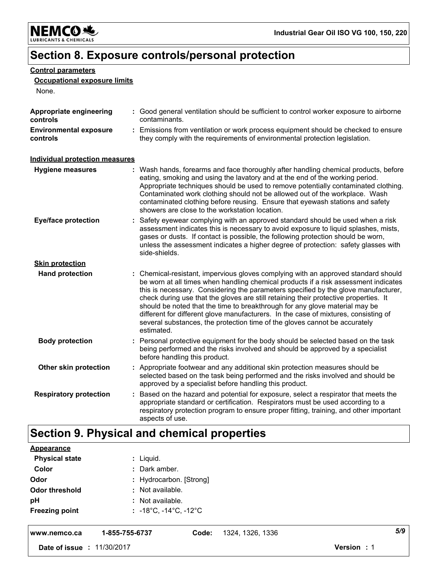

## **Section 8. Exposure controls/personal protection**

### **Control parameters**

### **Occupational exposure limits**

None.

| Appropriate engineering<br>controls       | : Good general ventilation should be sufficient to control worker exposure to airborne<br>contaminants.                                                                                                                                                                                                                                                                                                                                                                                                                                                                                                                   |
|-------------------------------------------|---------------------------------------------------------------------------------------------------------------------------------------------------------------------------------------------------------------------------------------------------------------------------------------------------------------------------------------------------------------------------------------------------------------------------------------------------------------------------------------------------------------------------------------------------------------------------------------------------------------------------|
| <b>Environmental exposure</b><br>controls | : Emissions from ventilation or work process equipment should be checked to ensure<br>they comply with the requirements of environmental protection legislation.                                                                                                                                                                                                                                                                                                                                                                                                                                                          |
| <b>Individual protection measures</b>     |                                                                                                                                                                                                                                                                                                                                                                                                                                                                                                                                                                                                                           |
| <b>Hygiene measures</b>                   | : Wash hands, forearms and face thoroughly after handling chemical products, before<br>eating, smoking and using the lavatory and at the end of the working period.<br>Appropriate techniques should be used to remove potentially contaminated clothing.<br>Contaminated work clothing should not be allowed out of the workplace. Wash<br>contaminated clothing before reusing. Ensure that eyewash stations and safety<br>showers are close to the workstation location.                                                                                                                                               |
| <b>Eye/face protection</b>                | Safety eyewear complying with an approved standard should be used when a risk<br>assessment indicates this is necessary to avoid exposure to liquid splashes, mists,<br>gases or dusts. If contact is possible, the following protection should be worn,<br>unless the assessment indicates a higher degree of protection: safety glasses with<br>side-shields.                                                                                                                                                                                                                                                           |
| <b>Skin protection</b>                    |                                                                                                                                                                                                                                                                                                                                                                                                                                                                                                                                                                                                                           |
| <b>Hand protection</b>                    | : Chemical-resistant, impervious gloves complying with an approved standard should<br>be worn at all times when handling chemical products if a risk assessment indicates<br>this is necessary. Considering the parameters specified by the glove manufacturer,<br>check during use that the gloves are still retaining their protective properties. It<br>should be noted that the time to breakthrough for any glove material may be<br>different for different glove manufacturers. In the case of mixtures, consisting of<br>several substances, the protection time of the gloves cannot be accurately<br>estimated. |
| <b>Body protection</b>                    | : Personal protective equipment for the body should be selected based on the task<br>being performed and the risks involved and should be approved by a specialist<br>before handling this product.                                                                                                                                                                                                                                                                                                                                                                                                                       |
| Other skin protection                     | : Appropriate footwear and any additional skin protection measures should be<br>selected based on the task being performed and the risks involved and should be<br>approved by a specialist before handling this product.                                                                                                                                                                                                                                                                                                                                                                                                 |
| <b>Respiratory protection</b>             | : Based on the hazard and potential for exposure, select a respirator that meets the<br>appropriate standard or certification. Respirators must be used according to a<br>respiratory protection program to ensure proper fitting, training, and other important<br>aspects of use.                                                                                                                                                                                                                                                                                                                                       |

## **Section 9. Physical and chemical properties**

| Date of issue : 11/30/2017 |                                                     |       |                  | Version: 1 |     |
|----------------------------|-----------------------------------------------------|-------|------------------|------------|-----|
| www.nemco.ca               | 1-855-755-6737                                      | Code: | 1324, 1326, 1336 |            | 5/9 |
| <b>Freezing point</b>      | : $-18^{\circ}$ C, $-14^{\circ}$ C, $-12^{\circ}$ C |       |                  |            |     |
| pH                         | : Not available.                                    |       |                  |            |     |
| <b>Odor threshold</b>      | : Not available.                                    |       |                  |            |     |
| Odor                       | : Hydrocarbon. [Strong]                             |       |                  |            |     |
| Color                      | : Dark amber.                                       |       |                  |            |     |
| <b>Physical state</b>      | : Liquid.                                           |       |                  |            |     |
| <b>Appearance</b>          |                                                     |       |                  |            |     |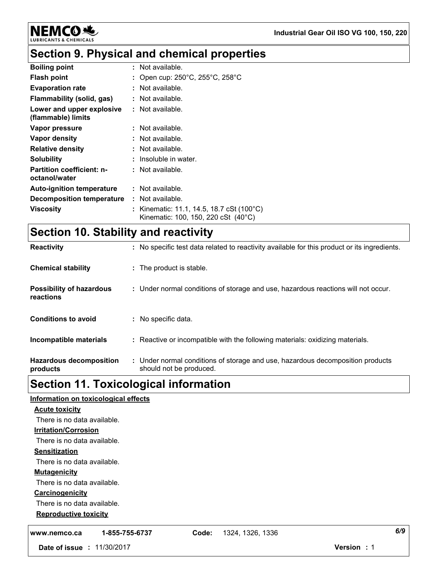

**NEMCO头 LUBRIC** 

## **Section 9. Physical and chemical properties**

| <b>Boiling point</b>                              | $\therefore$ Not available.                                                                 |
|---------------------------------------------------|---------------------------------------------------------------------------------------------|
| <b>Flash point</b>                                | : Open cup: $250^{\circ}$ C, $255^{\circ}$ C, $258^{\circ}$ C                               |
| <b>Evaporation rate</b>                           | $\therefore$ Not available.                                                                 |
| Flammability (solid, gas)                         | : Not available.                                                                            |
| Lower and upper explosive<br>(flammable) limits   | $\therefore$ Not available.                                                                 |
| Vapor pressure                                    | $\therefore$ Not available.                                                                 |
| Vapor density                                     | : Not available.                                                                            |
| <b>Relative density</b>                           | $\therefore$ Not available.                                                                 |
| <b>Solubility</b>                                 | : Insoluble in water.                                                                       |
| <b>Partition coefficient: n-</b><br>octanol/water | $\therefore$ Not available.                                                                 |
| <b>Auto-ignition temperature</b>                  | $\therefore$ Not available.                                                                 |
| <b>Decomposition temperature</b>                  | : Not available.                                                                            |
| Viscosity                                         | : Kinematic: 11.1, 14.5, 18.7 cSt (100 $^{\circ}$ C)<br>Kinematic: 100, 150, 220 cSt (40°C) |

# **Section 10. Stability and reactivity**

| <b>Hazardous decomposition</b><br>products   | : Under normal conditions of storage and use, hazardous decomposition products<br>should not be produced. |
|----------------------------------------------|-----------------------------------------------------------------------------------------------------------|
| Incompatible materials                       | : Reactive or incompatible with the following materials: oxidizing materials.                             |
| <b>Conditions to avoid</b>                   | : No specific data.                                                                                       |
| <b>Possibility of hazardous</b><br>reactions | : Under normal conditions of storage and use, hazardous reactions will not occur.                         |
| <b>Chemical stability</b>                    | : The product is stable.                                                                                  |
| <b>Reactivity</b>                            | : No specific test data related to reactivity available for this product or its ingredients.              |

# **Section 11. Toxicological information**

| Information on toxicological effects |                           |                   |
|--------------------------------------|---------------------------|-------------------|
| <b>Acute toxicity</b>                |                           |                   |
| There is no data available.          |                           |                   |
| <b>Irritation/Corrosion</b>          |                           |                   |
| There is no data available.          |                           |                   |
| <b>Sensitization</b>                 |                           |                   |
| There is no data available.          |                           |                   |
| <b>Mutagenicity</b>                  |                           |                   |
| There is no data available.          |                           |                   |
| Carcinogenicity                      |                           |                   |
| There is no data available.          |                           |                   |
| <b>Reproductive toxicity</b>         |                           |                   |
| 1-855-755-6737<br>www.nemco.ca       | 1324, 1326, 1336<br>Code: | 6/9               |
| Date of issue : 11/30/2017           |                           | <b>Version: 1</b> |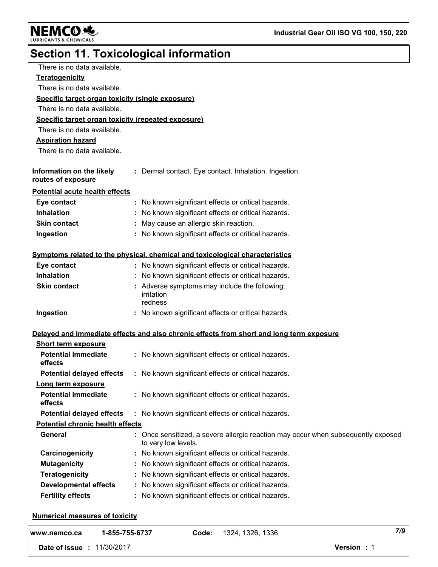**NEMCO头** LUBRICANTS & CHEMICALS

# **Section 11. Toxicological information**

| There is no data available.                        |                                                                                          |
|----------------------------------------------------|------------------------------------------------------------------------------------------|
| <b>Teratogenicity</b>                              |                                                                                          |
| There is no data available.                        |                                                                                          |
| Specific target organ toxicity (single exposure)   |                                                                                          |
| There is no data available.                        |                                                                                          |
| Specific target organ toxicity (repeated exposure) |                                                                                          |
| There is no data available.                        |                                                                                          |
| <b>Aspiration hazard</b>                           |                                                                                          |
| There is no data available.                        |                                                                                          |
|                                                    |                                                                                          |
| Information on the likely<br>routes of exposure    | : Dermal contact. Eye contact. Inhalation. Ingestion.                                    |
| <b>Potential acute health effects</b>              |                                                                                          |
| Eye contact                                        | No known significant effects or critical hazards.                                        |
| <b>Inhalation</b>                                  | No known significant effects or critical hazards.                                        |
| <b>Skin contact</b>                                | : May cause an allergic skin reaction.                                                   |
| Ingestion                                          | : No known significant effects or critical hazards.                                      |
|                                                    |                                                                                          |
|                                                    | Symptoms related to the physical, chemical and toxicological characteristics             |
| Eye contact                                        | : No known significant effects or critical hazards.                                      |
| <b>Inhalation</b>                                  | : No known significant effects or critical hazards.                                      |
| <b>Skin contact</b>                                | Adverse symptoms may include the following:                                              |
|                                                    | irritation<br>redness                                                                    |
| Ingestion                                          | : No known significant effects or critical hazards.                                      |
|                                                    |                                                                                          |
|                                                    | Delayed and immediate effects and also chronic effects from short and long term exposure |
| <b>Short term exposure</b>                         |                                                                                          |
| <b>Potential immediate</b>                         | : No known significant effects or critical hazards.                                      |
| effects                                            |                                                                                          |
| <b>Potential delayed effects</b>                   | : No known significant effects or critical hazards.                                      |
| Long term exposure                                 |                                                                                          |
| <b>Potential immediate</b><br>effects              | : No known significant effects or critical hazards.                                      |
| <b>Potential delayed effects</b>                   | No known significant effects or critical hazards.                                        |
| <b>Potential chronic health effects</b>            |                                                                                          |
| <b>General</b>                                     | Once sensitized, a severe allergic reaction may occur when subsequently exposed          |
|                                                    | to very low levels.                                                                      |
| Carcinogenicity                                    | No known significant effects or critical hazards.                                        |
| <b>Mutagenicity</b>                                | No known significant effects or critical hazards.                                        |
| <b>Teratogenicity</b>                              | No known significant effects or critical hazards.                                        |
| <b>Developmental effects</b>                       | No known significant effects or critical hazards.                                        |
| <b>Fertility effects</b>                           | No known significant effects or critical hazards.                                        |
|                                                    |                                                                                          |

### **Numerical measures of toxicity**

| www.nemco.ca  | 1-855-755-6737 | Code: | 1324, 1326, 1336 | 7/9        |  |
|---------------|----------------|-------|------------------|------------|--|
| Date of issue | 11/30/2017     |       |                  | Version: 1 |  |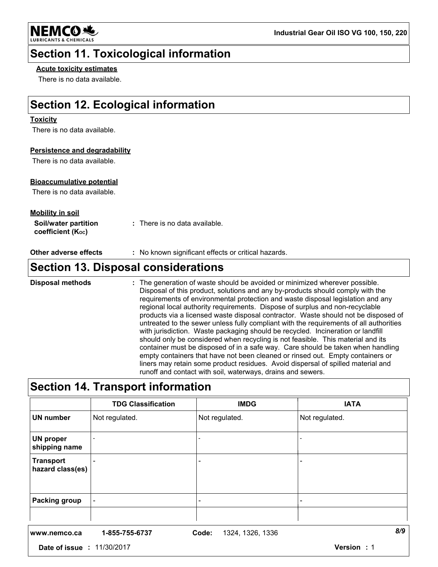

### **Section 11. Toxicological information**

### **Acute toxicity estimates**

There is no data available.

## **Section 12. Ecological information**

### **Toxicity**

There is no data available.

### **Persistence and degradability**

There is no data available.

### **Bioaccumulative potential**

There is no data available.

| <u>Mobility in soil</u>                                |                               |
|--------------------------------------------------------|-------------------------------|
| Soil/water partition<br>coefficient (K <sub>oc</sub> ) | : There is no data available. |

**Other adverse effects** : No known significant effects or critical hazards.

### **Section 13. Disposal considerations**

The generation of waste should be avoided or minimized wherever possible. Disposal of this product, solutions and any by-products should comply with the requirements of environmental protection and waste disposal legislation and any regional local authority requirements. Dispose of surplus and non-recyclable products via a licensed waste disposal contractor. Waste should not be disposed of untreated to the sewer unless fully compliant with the requirements of all authorities with jurisdiction. Waste packaging should be recycled. Incineration or landfill should only be considered when recycling is not feasible. This material and its container must be disposed of in a safe way. Care should be taken when handling empty containers that have not been cleaned or rinsed out. Empty containers or liners may retain some product residues. Avoid dispersal of spilled material and runoff and contact with soil, waterways, drains and sewers. **Disposal methods :**

## **Section 14. Transport information**

|                               | <b>TDG Classification</b> | <b>IMDG</b>               | <b>IATA</b>    |
|-------------------------------|---------------------------|---------------------------|----------------|
| <b>UN number</b>              | Not regulated.            | Not regulated.            | Not regulated. |
| UN proper<br>shipping name    |                           |                           |                |
| Transport<br>hazard class(es) |                           |                           |                |
| <b>Packing group</b>          |                           |                           |                |
| www.nemco.ca                  | 1-855-755-6737            | Code:<br>1324, 1326, 1336 | 8/9            |

**Date of issue :** 11/30/2017 **Version :** 1